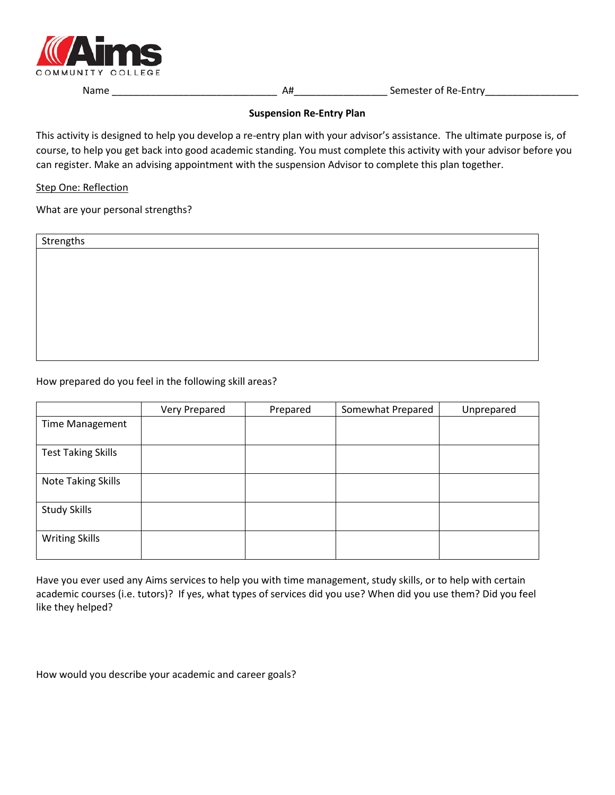

Name \_\_\_\_\_\_\_\_\_\_\_\_\_\_\_\_\_\_\_\_\_\_\_\_\_\_\_\_\_\_ A#\_\_\_\_\_\_\_\_\_\_\_\_\_\_\_\_\_ Semester of Re-Entry\_\_\_\_\_\_\_\_\_\_\_\_\_\_\_\_\_

# **Suspension Re-Entry Plan**

This activity is designed to help you develop a re-entry plan with your advisor's assistance. The ultimate purpose is, of course, to help you get back into good academic standing. You must complete this activity with your advisor before you can register. Make an advising appointment with the suspension Advisor to complete this plan together.

# Step One: Reflection

What are your personal strengths?

| Strengths |  |
|-----------|--|
|           |  |
|           |  |
|           |  |
|           |  |
|           |  |
|           |  |
|           |  |
|           |  |

# How prepared do you feel in the following skill areas?

|                           | Very Prepared | Prepared | Somewhat Prepared | Unprepared |
|---------------------------|---------------|----------|-------------------|------------|
| <b>Time Management</b>    |               |          |                   |            |
| <b>Test Taking Skills</b> |               |          |                   |            |
| <b>Note Taking Skills</b> |               |          |                   |            |
| <b>Study Skills</b>       |               |          |                   |            |
| <b>Writing Skills</b>     |               |          |                   |            |

Have you ever used any Aims services to help you with time management, study skills, or to help with certain academic courses (i.e. tutors)? If yes, what types of services did you use? When did you use them? Did you feel like they helped?

How would you describe your academic and career goals?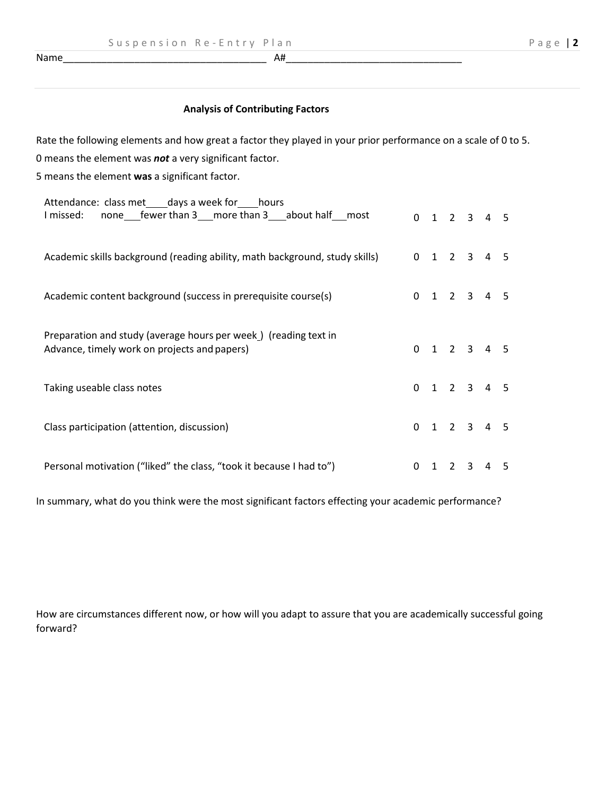$Name$  and  $\overline{A}$  and  $\overline{A}$  and  $\overline{A}$  and  $\overline{A}$  and  $\overline{A}$  and  $\overline{A}$  and  $\overline{A}$  and  $\overline{A}$  and  $\overline{A}$  and  $\overline{A}$  and  $\overline{A}$  and  $\overline{A}$  and  $\overline{A}$  and  $\overline{A}$  and  $\overline{A}$  and  $\overline{A}$  and  $\overline$ 

# **Analysis of Contributing Factors**

Rate the following elements and how great a factor they played in your prior performance on a scale of 0 to 5.

0 means the element was *not* a very significant factor.

5 means the element **was** a significant factor.

| Attendance: class met _____ days a week for _____ hours<br>none fewer than 3 more than 3 about half most<br>I missed: |   |   |   | $0$ 1 2 3 4 5           |   |   |
|-----------------------------------------------------------------------------------------------------------------------|---|---|---|-------------------------|---|---|
| Academic skills background (reading ability, math background, study skills)                                           |   |   |   | $0$ 1 2 3 4 5           |   |   |
| Academic content background (success in prerequisite course(s)                                                        |   |   |   | $0$ 1 2 3 4 5           |   |   |
| Preparation and study (average hours per week) (reading text in<br>Advance, timely work on projects and papers)       |   |   |   | $0$ 1 2 3 4 5           |   |   |
| Taking useable class notes                                                                                            |   |   |   | $0 \t1 \t2 \t3 \t4 \t5$ |   |   |
| Class participation (attention, discussion)                                                                           |   |   |   | $0$ 1 2 3 4 5           |   |   |
| Personal motivation ("liked" the class, "took it because I had to")                                                   | 0 | 1 | 2 | 3                       | 4 | 5 |

In summary, what do you think were the most significant factors effecting your academic performance?

How are circumstances different now, or how will you adapt to assure that you are academically successful going forward?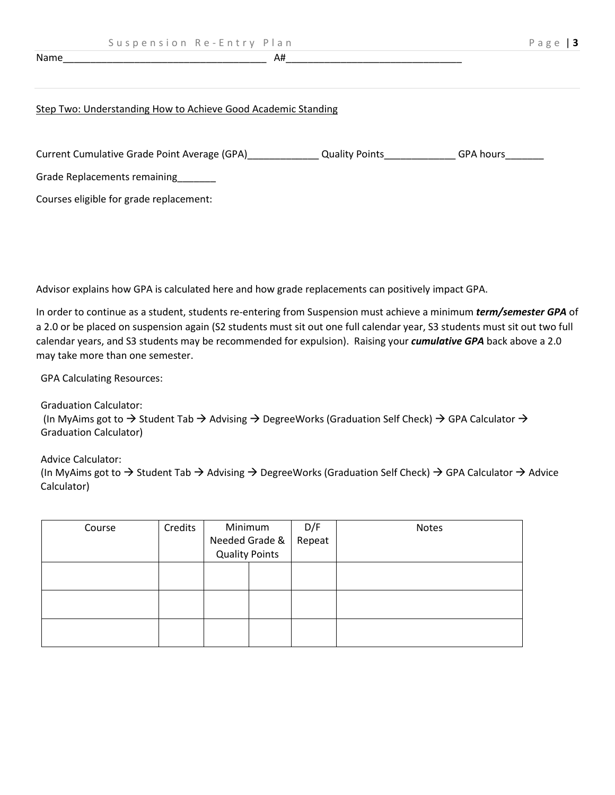# Name  $\Box$

#### Step Two: Understanding How to Achieve Good Academic Standing

| Current Cumulative Grade Point Average (GPA) | <b>Quality Points</b> | <b>GPA hours</b> |
|----------------------------------------------|-----------------------|------------------|
| Grade Replacements remaining                 |                       |                  |
| Courses eligible for grade replacement:      |                       |                  |

Advisor explains how GPA is calculated here and how grade replacements can positively impact GPA.

In order to continue as a student, students re-entering from Suspension must achieve a minimum *term/semester GPA* of a 2.0 or be placed on suspension again (S2 students must sit out one full calendar year, S3 students must sit out two full calendar years, and S3 students may be recommended for expulsion). Raising your *cumulative GPA* back above a 2.0 may take more than one semester.

GPA Calculating Resources:

Graduation Calculator: (In MyAims got to  $\rightarrow$  Student Tab  $\rightarrow$  Advising  $\rightarrow$  DegreeWorks (Graduation Self Check)  $\rightarrow$  GPA Calculator  $\rightarrow$ Graduation Calculator)

Advice Calculator: (In MyAims got to  $\rightarrow$  Student Tab  $\rightarrow$  Advising  $\rightarrow$  DegreeWorks (Graduation Self Check)  $\rightarrow$  GPA Calculator  $\rightarrow$  Advice Calculator)

| Course | Credits | Minimum<br>Needed Grade &<br><b>Quality Points</b> |  | D/F<br>Repeat | Notes |
|--------|---------|----------------------------------------------------|--|---------------|-------|
|        |         |                                                    |  |               |       |
|        |         |                                                    |  |               |       |
|        |         |                                                    |  |               |       |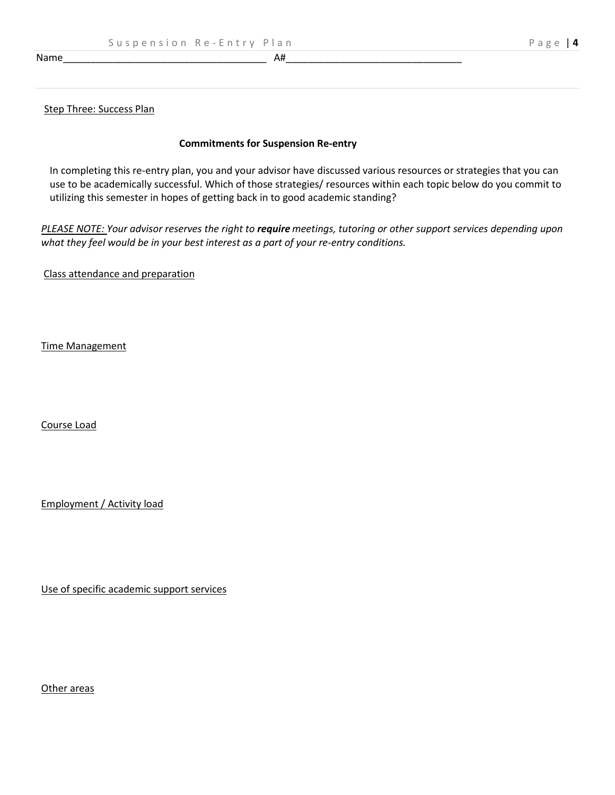Name\_\_\_\_\_\_\_\_\_\_\_\_\_\_\_\_\_\_\_\_\_\_\_\_\_\_\_\_\_\_\_\_\_\_\_\_\_ A#\_\_\_\_\_\_\_\_\_\_\_\_\_\_\_\_\_\_\_\_\_\_\_\_\_\_\_\_\_\_\_\_

#### Step Three: Success Plan

# **Commitments for Suspension Re-entry**

In completing this re-entry plan, you and your advisor have discussed various resources or strategies that you can use to be academically successful. Which of those strategies/ resources within each topic below do you commit to utilizing this semester in hopes of getting back in to good academic standing?

*PLEASE NOTE: Your advisor reserves the right to require meetings, tutoring or other support services depending upon what they feel would be in your best interest as a part of your re-entry conditions.*

Class attendance and preparation

Time Management

Course Load

Employment / Activity load

Use of specific academic support services

Other areas